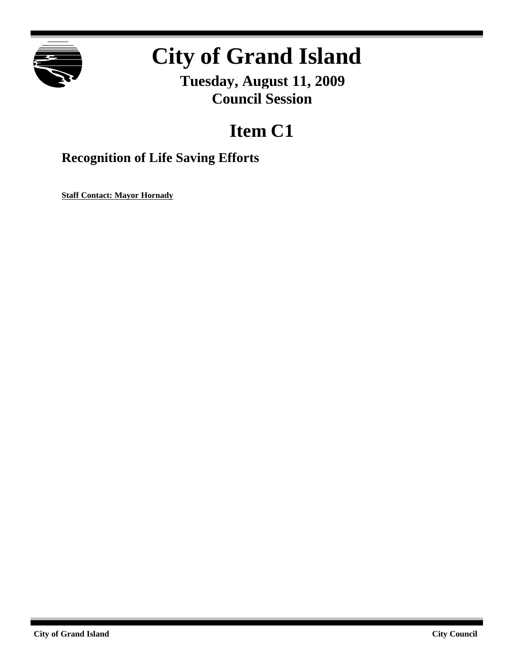

# **City of Grand Island**

**Tuesday, August 11, 2009 Council Session**

## **Item C1**

### **Recognition of Life Saving Efforts**

**Staff Contact: Mayor Hornady**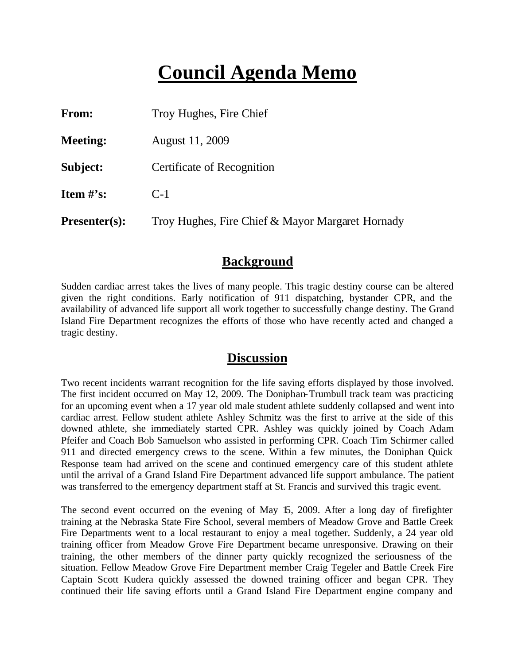### **Council Agenda Memo**

| <b>From:</b>         | Troy Hughes, Fire Chief                          |
|----------------------|--------------------------------------------------|
| <b>Meeting:</b>      | August 11, 2009                                  |
| Subject:             | Certificate of Recognition                       |
| Item $\#$ 's:        | $C-1$                                            |
| <b>Presenter(s):</b> | Troy Hughes, Fire Chief & Mayor Margaret Hornady |

#### **Background**

Sudden cardiac arrest takes the lives of many people. This tragic destiny course can be altered given the right conditions. Early notification of 911 dispatching, bystander CPR, and the availability of advanced life support all work together to successfully change destiny. The Grand Island Fire Department recognizes the efforts of those who have recently acted and changed a tragic destiny.

#### **Discussion**

Two recent incidents warrant recognition for the life saving efforts displayed by those involved. The first incident occurred on May 12, 2009. The Doniphan-Trumbull track team was practicing for an upcoming event when a 17 year old male student athlete suddenly collapsed and went into cardiac arrest. Fellow student athlete Ashley Schmitz was the first to arrive at the side of this downed athlete, she immediately started CPR. Ashley was quickly joined by Coach Adam Pfeifer and Coach Bob Samuelson who assisted in performing CPR. Coach Tim Schirmer called 911 and directed emergency crews to the scene. Within a few minutes, the Doniphan Quick Response team had arrived on the scene and continued emergency care of this student athlete until the arrival of a Grand Island Fire Department advanced life support ambulance. The patient was transferred to the emergency department staff at St. Francis and survived this tragic event.

The second event occurred on the evening of May 15, 2009. After a long day of firefighter training at the Nebraska State Fire School, several members of Meadow Grove and Battle Creek Fire Departments went to a local restaurant to enjoy a meal together. Suddenly, a 24 year old training officer from Meadow Grove Fire Department became unresponsive. Drawing on their training, the other members of the dinner party quickly recognized the seriousness of the situation. Fellow Meadow Grove Fire Department member Craig Tegeler and Battle Creek Fire Captain Scott Kudera quickly assessed the downed training officer and began CPR. They continued their life saving efforts until a Grand Island Fire Department engine company and